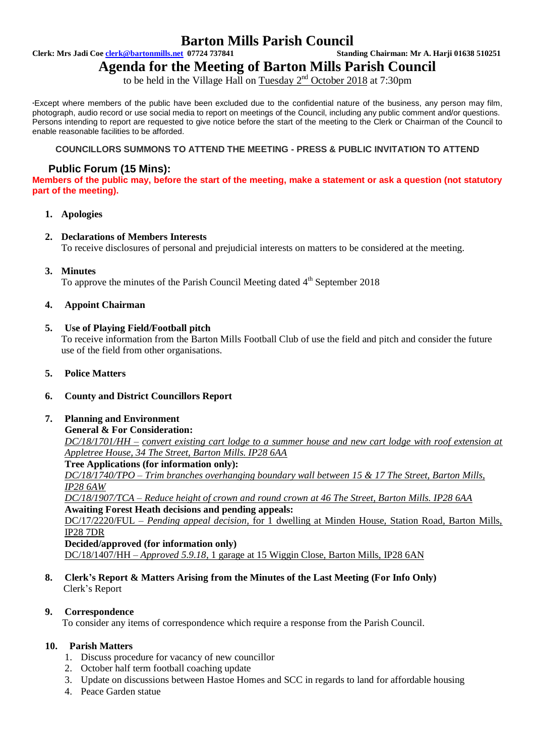# **Barton Mills Parish Council**<br>standing Chairman: Mr A. Harji 01638 510251

**Clerk: Mrs Jadi Coe clerk@bartonmills.net** 07724 737841

# **Agenda for the Meeting of Barton Mills Parish Council**

to be held in the Village Hall on Tuesday  $2<sup>nd</sup>$  October 2018 at 7:30pm

\*Except where members of the public have been excluded due to the confidential nature of the business, any person may film, photograph, audio record or use social media to report on meetings of the Council, including any public comment and/or questions. Persons intending to report are requested to give notice before the start of the meeting to the Clerk or Chairman of the Council to enable reasonable facilities to be afforded.

#### **COUNCILLORS SUMMONS TO ATTEND THE MEETING - PRESS & PUBLIC INVITATION TO ATTEND**

# **Public Forum (15 Mins):**

**Members of the public may, before the start of the meeting, make a statement or ask a question (not statutory part of the meeting).**

# **1. Apologies**

# **2. Declarations of Members Interests**

To receive disclosures of personal and prejudicial interests on matters to be considered at the meeting.

# **3. Minutes**

To approve the minutes of the Parish Council Meeting dated 4<sup>th</sup> September 2018

# **4. Appoint Chairman**

# **5. Use of Playing Field/Football pitch**

To receive information from the Barton Mills Football Club of use the field and pitch and consider the future use of the field from other organisations.

#### **5. Police Matters**

#### **6. County and District Councillors Report**

#### **7. Planning and Environment**

#### **General & For Consideration:**

*DC/18/1701/HH – convert existing cart lodge to a summer house and new cart lodge with roof extension at Appletree House, 34 The Street, Barton Mills. IP28 6AA*

**Tree Applications (for information only):**

*DC/18/1740/TPO – Trim branches overhanging boundary wall between 15 & 17 The Street, Barton Mills, IP28 6AW*

*DC/18/1907/TCA – Reduce height of crown and round crown at 46 The Street, Barton Mills. IP28 6AA* **Awaiting Forest Heath decisions and pending appeals:**

DC/17/2220/FUL – *Pending appeal decision,* for 1 dwelling at Minden House, Station Road, Barton Mills, IP28 7DR

**Decided/approved (for information only)**

DC/18/1407/HH – *Approved 5.9.18,* 1 garage at 15 Wiggin Close, Barton Mills, IP28 6AN

# **8. Clerk's Report & Matters Arising from the Minutes of the Last Meeting (For Info Only)** Clerk's Report

#### **9. Correspondence**

To consider any items of correspondence which require a response from the Parish Council.

#### **10. Parish Matters**

- 1. Discuss procedure for vacancy of new councillor
- 2. October half term football coaching update
- 3. Update on discussions between Hastoe Homes and SCC in regards to land for affordable housing
- 4. Peace Garden statue